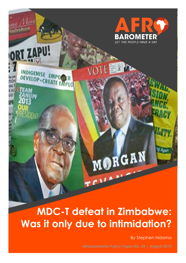

# **MDC-T defeat in Zimbabwe: Was it only due to intimidation?**

By Stephen Ndoma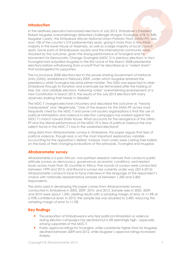### **Introduction**

In the relatively peaceful harmonized elections of July 2013, Zimbabwe's President Robert Mugabe overwhelmingly defeated challenger Morgan Tsvangirai, 61% to 34%. Mugabe's party, the Zimbabwe African National Union–Patriotic Front (ZANU-PF), also won 158 of the country's 210 parliamentary seats, giving it more than a two-thirds majority in the lower House of Assembly, as well as a large majority of local council seats. Some parts of Zimbabwean society and the international community were shocked by the outcome, given the strong performance of Tsvangirai and his Movement for Democratic Change–Tsvangirai (MDC-T) in previous elections. In fact, Tsvangirai had outpolled Mugabe in the first round of the March 2008 presidential elections before withdrawing from a runoff that he described as a "violent sham" that endangered his supporters.

The inconclusive 2008 elections led to the power-sharing Government of National Unity (GNU), established in February 2009, under which Mugabe retained the presidency while Tsvangirai became prime minister. The GNU was expected to steer Zimbabwe through its transition and eventually be terminated after the holding of free, fair, and credible elections. Following voters' overwhelming endorsement of a new Constitution in March 2013, the results of the July 2013 elections left many observers shaking their heads in disbelief.

The MDC-T charged electoral chicanery and described the outcome as "heavily manipulated" and "illegitimate." One of the reasons for the ZANU-PF victory most frequently cited by the MDC-T and some civil society organisations is that the use of political intimidation and violence in election campaigns has worked against the MDC-T's march toward State House. What accounts for the resurgence of the ZANU-PF and the dismal performance of the MDC-T? Is fear of political violence the only salient factor in the MDC-T's loss in the watershed elections?

Using data from Afrobarometer surveys in Zimbabwe, this paper argues that fear of political violence, though real, is not the most important explanatory variable accounting for the opposition's defeat. Instead, most voters were casting their ballots on the basis of their changing evaluations of the principals, Tsvangirai and Mugabe.

#### **Afrobarometer survey**

Afrobarometer is a pan-African, non-partisan research network that conducts public attitude surveys on democracy, governance, economic conditions, and related issues across more than 30 countries in Africa. Five rounds of surveys were conducted between 1999 and 2013, and Round 6 surveys are currently under way (2014-2015). Afrobarometer conducts face-to-face interviews in the language of the respondent's choice with nationally representative samples of between 1,200 and 2,400 respondents.

The data used in developing this paper comes from Afrobarometer surveys conducted in Zimbabwe in 2005, 2009, 2010, and 2012. Sample sizes in 2005, 2009, and 2010 were about 1,200, yielding results with a sampling margin of error of +/-3% at a 95% confidence level. In 2012, the sample size was doubled to 2,400, reducing the sampling margin of error to +/-2%.

#### **Key findings**

- **The proportion of Zimbabweans who fear political intimidation or violence** during election campaigns has declined but is still alarmingly high – especially among supporters of the MDC-T.
- Public approval ratings for Tsvangirai, while consistently higher than for Mugabe, declined between 2009 and 2012, while Mugabe's approval ratings increased sharply.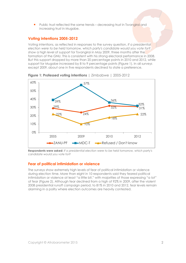Public trust reflected the same trends – decreasing trust in Tsvangirai and increasing trust in Mugabe.

# **Voting intentions 2005-2012**

Voting intentions, as reflected in responses to the survey question, *If a presidential election were to be held tomorrow, which party's candidate would you vote for?*, show a high level of support for Tsvangirai in May 2009, three months after the formation of the GNU. This is consistent with his strong electoral performance in 2008. But this support dropped by more than 20 percentage points in 2010 and 2012, while support for Mugabe increased by 8 to 9 percentage points (Figure 1). In all surveys except 2009, about one in five respondents declined to state a preference.



**Figure 1: Professed voting intentions** | Zimbabwe | 2005-2012

**Respondents were asked:** *If a presidential election were to be held tomorrow, which party's candidate would you vote for?*

# **Fear of political intimidation or violence**

The surveys show extremely high levels of fear of political intimidation or violence during election time. More than eight in 10 respondents said they feared political intimidation or violence at least "a little bit," with majorities of those expressing "a lot" of fear (Figure 2). Although fear declined from a high of 92% in 2009, after the violent 2008 presidential runoff campaign period, to 81% in 2010 and 2012, fear levels remain alarming in a polity where election outcomes are heavily contested.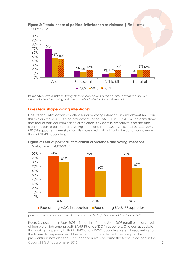

#### **Figure 2: Trends in fear of political intimidation or violence** | Zimbabwe | 2009-2012

# **Does fear shape voting intentions?**

Does fear of intimidation or violence shape voting intentions in Zimbabwe? And can this explain the MDC-T's electoral defeat to the ZANU-PF in July 2013? The data show that fear of political intimidation or violence is evident in Zimbabwe's politics and does appear to be related to voting intentions. In the 2009, 2010, and 2012 surveys, MDC-T supporters were significantly more afraid of political intimidation or violence than ZANU-PF supporters.



**Figure 3: Fear of political intimidation or violence and voting intentions**  | Zimbabwe | 2009-2012

*(% who feared political intimidation or violence "a lot," "somewhat," or "a little bit")*

Copyright © Afrobarometer 2015 3 Figure 3 shows that in May 2009, 11 months after the June 2008 runoff election, levels of fear were high among both ZANU-PF and MDC-T supporters. One can speculate that during this period, both ZANU-PF and MDC-T supporters were still recovering from the traumatic experiences of the terror that characterised the run-up to the presidential runoff elections. This scenario is likely because the terror unleashed in the

**Respondents were asked:** *During election campaigns in this country, how much do you personally fear becoming a victim of political intimidation or violence?*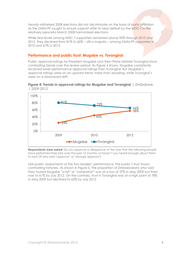heavily militarised 2008 elections did not discriminate on the basis of party affiliation as the ZANU-PF sought to ensure support after its near-defeat by the MDC-T in the relatively peaceful March 2008 harmonised elections.

While fear levels among MDC-T supporters remained above 90% through 2010 and 2012, they declined from 81% to 60% – still a majority – among ZANU-PF supporters in 2010 and 67% in 2012.

# **Performance and public trust: Mugabe vs. Tsvangirai**

Public approval ratings for President Mugabe and then-Prime Minister Tsvangirai show contrasting trends over the review period. As Figure 4 shows, Mugabe consistently received lower performance approval ratings than Tsvangirai. But Mugabe's approval ratings were on an upward trend, more than doubling, while Tsvangirai's were on a downward drift.





*Respondents were asked: Do you approve or disapprove of the way that the following people have performed their jobs over the past 12 months, or haven't you heard enough about them to say? (% who said "approve" or "strongly approve")*

Like public assessments of the two leaders' performance, the public's trust shows contrasting fortunes. As shown in Figure 5, the proportion of Zimbabweans who said they trusted Mugabe "a lot" or "somewhat" was at a low of 37% in May 2009 but then rose to 61% by July 2012. On the contrary, trust in Tsvangirai was at a high point of 78% in May 2009 but declined to 63% by July 2012.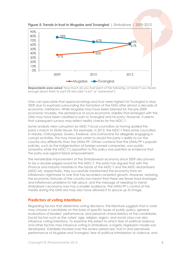

**Figure 5: Trends in trust in Mugabe and Tsvangirai** | Zimbabwe | 2009-2012

*Respondents were asked: How much do you trust each of the following, or haven't you heard enough about them to say? (% who said "a lot" or "somewhat")*

One can speculate that approval ratings and trust were highest for Tsvangirai in May 2009 due to euphoria surrounding the formation of the GNU after almost a decade of economic meltdown. While Mugabe may have been blamed for the pre-2009 economic troubles, the semblance of socio-economic stability that emerged with the GNU may have been credited in part to Tsvangirai and his party. However, it seems that subsequent surveys may reflect reality checks for the MDC-T.

Some analysts view corruption by MDC-T local councillors as having spoiled the party's march to State House. For example, in 2012, the MDC-T fired some councillors in Harare, Chitungwiza, Gweru, Kwekwe, and Zvishavane for allegedly engaging in corrupt activities. This may have led voters to doubt the party's ability to run the country any differently than the ZANU–PF. Others contend that the ZANU-PF's populist policies, such as the indigenisation of foreign-owned companies, won public sympathy while the MDC-T's opposition to this policy was painted as evidence that the party was against black empowerment.

The remarkable improvement of the Zimbabwean economy since 2009 also proved to be a double-edged sword for the MDC-T. The party has argued that with the Finance and Industry ministries in the hands of the MDC-T and the MDC-Mutambara (MDC-M), respectively, they successfully transformed the economy from an inflationary nightmare to one that has recorded consistent growth. However, restoring the economic fortunes of the country has meant that there are fewer food shortages and inflationary problems to talk about, and the message of needing to mend Zimbabwe's economy now has a smaller audience. The ZANU-PF's control of the media during the GNU era may also have allowed it to spruce up its image.

#### **Predictors of voting intentions**

Regarding factors that determine voting decisions, the literature suggests that a voter may choose a candidate on the basis of specific issues of public policy, general evaluations of leaders' performance, and personal characteristics of the candidates. Social factors such as the voters' age, religion, region, and social class can also influence voting intentions. To examine the extent to which fear of political violence and other factors may influence voting in Zimbabwe, a logistic regression model was developed. Variables tracked over the review period are: trust in and perceived performance of Mugabe and Tsvangirai, fear of political intimidation or violence, and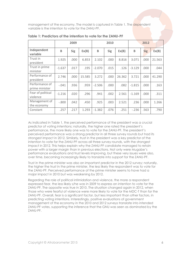management of the economy. The model is captured in Table 1. The dependent variable is the intention to vote for the ZANU-PF.

|                                  | 2009     |            |        | 2010     |            |        | 2012     |            |        |
|----------------------------------|----------|------------|--------|----------|------------|--------|----------|------------|--------|
| Independent<br>variable          | B        | <b>Sig</b> | Ex(B)  | B        | <b>Sig</b> | Ex(B)  | B        | <b>Sig</b> | Ex(B)  |
| Trust in<br>president            | 1.925    | .000       | 6.853  | 2.102    | .000       | 8.816  | 3.071    | .000       | 21.563 |
| Trust in prime<br>minister       | $-1.637$ | .017       | .195   | $-2.070$ | .015       | .126   | $-3.129$ | .000       | .044   |
| Performance of<br>president      | 2.746    | .000       | 15.585 | 3.272    | .000       | 26.362 | 3.721    | .000       | 41.290 |
| Performance of<br>prime minister | $-.041$  | .936       | .959   | $-2.506$ | .000       | .082   | $-1.815$ | .000       | .163   |
| Fear of political<br>violence    | $-1.216$ | .020       | .296   | .941     | .002       | 2.561  | $-1.169$ | .000       | .311   |
| Management of<br>the economy     | $-.800$  | .042       | .450   | .925     | .003       | 2.521  | .236     | .000       | 1.266  |
| Constant                         | .257     | .217       | 1.293  | $-1.382$ | .076       | .251   | $-.236$  | .563       | .790   |

**Table 1: Predictors of the intention to vote for the ZANU-PF** 

As indicated in Table 1, the perceived performance of the president was a crucial predictor of voting intentions; naturally, the higher one rated the president's performance, the more likely one was to vote for the ZANU-PF. The president's perceived performance was a strong predictor in all three survey rounds but had its strongest impact in 2012. Similarly, trust in the president was a key predictor of the intention to vote for the ZANU-PF across all three survey rounds, with the strongest impact in 2012. This helps explain why the ZANU-PF candidate managed to retain power with a larger margin than in previous elections. Not only were Mugabe's performance evaluations and trust levels improving, but these very issues were also, over time, becoming increasingly likely to translate into support for the ZANU-PF.

Trust in the prime minister was also an important predictor in the 2012 survey; naturally, the higher the trust in the prime minister, the less likely the respondent was to vote for the ZANU-PF. Perceived performance of the prime minister seems to have had a major impact in 2010 but was weakening by 2012.

Regarding the role of political intimidation and violence, the more a respondent expressed fear, the less likely s/he was in 2009 to express an intention to vote for the ZANU-PF. The opposite was true in 2010. The situation changed again in 2012, when those who were fearful of violence were more likely to vote for the MDC-T than for the ZANU-PF. Overall, fear is a significant factor, but less important than other factors, in predicting voting intentions. Interestingly, positive evaluations of government management of the economy in the 2010 and 2012 surveys translate into intended ZANU-PF votes, supporting the inference that the GNU was seen as dominated by the ZANU-PF.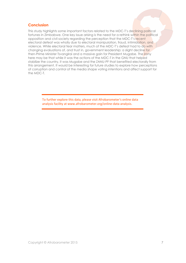# **Conclusion**

This study highlights some important factors related to the MDC-T's declining political fortunes in Zimbabwe. One key issue arising is the need for a rethink within the political opposition and civil society regarding the perception that the MDC-T's recent electoral defeat was wholly due to electoral manipulation, fraud, intimidation, and violence. While electoral fear matters, much of the MDC-T's defeat had to do with changing evaluations of, and trust in, government leadership: a slight decline for then-Prime Minister Tsvangirai and a massive gain for President Mugabe. The *irony* here may be that while it was the actions of the MDC-T in the GNU that helped stabilize the country, it was Mugabe and the ZANU-PF that benefited electorally from this arrangement. It would be interesting for future studies to explore how perceptions of corruption and control of the media shape voting intentions and affect support for the MDC-T.

> To further explore this data, please visit Afrobarometer's online data analysis facility at www.afrobarometer.org/online-data-analysis.